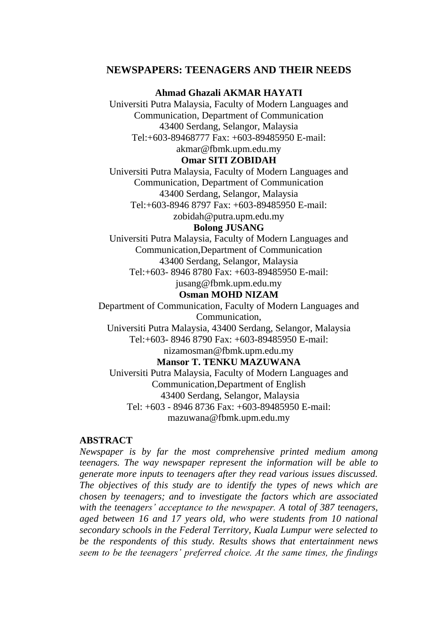# **NEWSPAPERS: TEENAGERS AND THEIR NEEDS**

**Ahmad Ghazali AKMAR HAYATI** 

Universiti Putra Malaysia, Faculty of Modern Languages and Communication, Department of Communication 43400 Serdang, Selangor, Malaysia Tel:+603-89468777 Fax: +603-89485950 E-mail:

[akmar@fbmk.upm.edu.my](mailto:akmar@fbmk.upm.edu.my)

# **Omar SITI ZOBIDAH**

Universiti Putra Malaysia, Faculty of Modern Languages and Communication, Department of Communication 43400 Serdang, Selangor, Malaysia Tel:+603-8946 8797 Fax: +603-89485950 E-mail: [zobidah@putra.upm.edu.my](mailto:zobidah@putra.upm.edu.my)

#### **Bolong JUSANG**

Universiti Putra Malaysia, Faculty of Modern Languages and Communication,Department of Communication 43400 Serdang, Selangor, Malaysia Tel:+603- 8946 8780 Fax: +603-89485950 E-mail: [jusang@fbmk.upm.edu.my](mailto:jusang@fbmk.upm.edu.my)

#### **Osman MOHD NIZAM**

Department of Communication, Faculty of Modern Languages and Communication,

Universiti Putra Malaysia, 43400 Serdang, Selangor, Malaysia Tel:+603- 8946 8790 Fax: +603-89485950 E-mail:

# [nizamosman@fbmk.upm.edu.my](mailto:nizamosman@fbmk.upm.edu.my)

**Mansor T. TENKU MAZUWANA**

Universiti Putra Malaysia, Faculty of Modern Languages and Communication,Department of English 43400 Serdang, Selangor, Malaysia Tel: +603 - 8946 8736 Fax: +603-89485950 E-mail: [mazuwana@fbmk.upm.edu.my](mailto:mazuwana@fbmk.upm.edu.my)

#### **ABSTRACT**

*Newspaper is by far the most comprehensive printed medium among teenagers. The way newspaper represent the information will be able to generate more inputs to teenagers after they read various issues discussed. The objectives of this study are to identify the types of news which are chosen by teenagers; and to investigate the factors which are associated with the teenagers' acceptance to the newspaper. A total of 387 teenagers, aged between 16 and 17 years old, who were students from 10 national secondary schools in the Federal Territory, Kuala Lumpur were selected to be the respondents of this study. Results shows that entertainment news seem to be the teenagers' preferred choice. At the same times, the findings*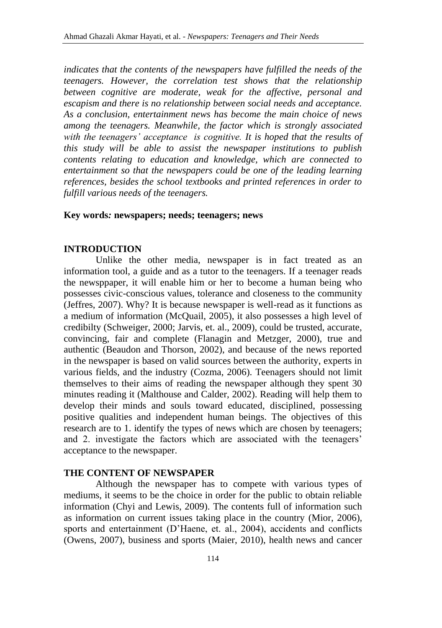*indicates that the contents of the newspapers have fulfilled the needs of the teenagers. However, the correlation test shows that the relationship between cognitive are moderate, weak for the affective, personal and escapism and there is no relationship between social needs and acceptance. As a conclusion, entertainment news has become the main choice of news among the teenagers. Meanwhile, the factor which is strongly associated with the teenagers' acceptance is cognitive. It is hoped that the results of this study will be able to assist the newspaper institutions to publish contents relating to education and knowledge, which are connected to entertainment so that the newspapers could be one of the leading learning references, besides the school textbooks and printed references in order to fulfill various needs of the teenagers.*

#### **Key words***:* **newspapers; needs; teenagers; news**

#### **INTRODUCTION**

Unlike the other media, newspaper is in fact treated as an information tool, a guide and as a tutor to the teenagers. If a teenager reads the newsppaper, it will enable him or her to become a human being who possesses civic-conscious values, tolerance and closeness to the community (Jeffres, 2007). Why? It is because newspaper is well-read as it functions as a medium of information (McQuail, 2005), it also possesses a high level of credibilty (Schweiger, 2000; Jarvis, et. al., 2009), could be trusted, accurate, convincing, fair and complete (Flanagin and Metzger, 2000), true and authentic (Beaudon and Thorson, 2002), and because of the news reported in the newspaper is based on valid sources between the authority, experts in various fields, and the industry (Cozma, 2006). Teenagers should not limit themselves to their aims of reading the newspaper although they spent 30 minutes reading it (Malthouse and Calder, 2002). Reading will help them to develop their minds and souls toward educated, disciplined, possessing positive qualities and independent human beings. The objectives of this research are to 1. identify the types of news which are chosen by teenagers; and 2. investigate the factors which are associated with the teenagers' acceptance to the newspaper.

#### **THE CONTENT OF NEWSPAPER**

Although the newspaper has to compete with various types of mediums, it seems to be the choice in order for the public to obtain reliable information (Chyi and Lewis, 2009). The contents full of information such as information on current issues taking place in the country (Mior, 2006), sports and entertainment (D'Haene, et. al., 2004), accidents and conflicts (Owens, 2007), business and sports (Maier, 2010), health news and cancer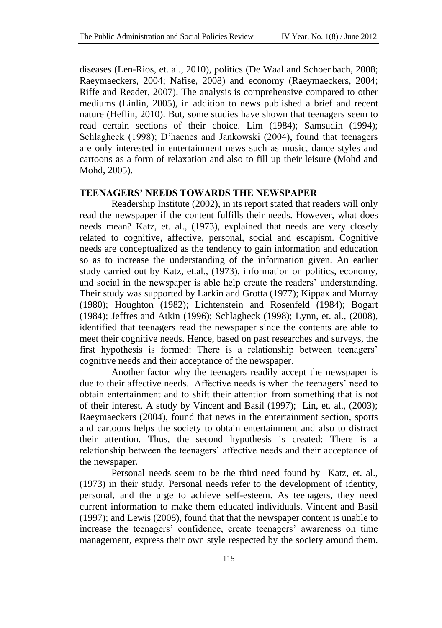diseases (Len-Rios, et. al., 2010), politics (De Waal and Schoenbach, 2008; Raeymaeckers, 2004; Nafise, 2008) and economy (Raeymaeckers, 2004; Riffe and Reader, 2007). The analysis is comprehensive compared to other mediums (Linlin, 2005), in addition to news published a brief and recent nature (Heflin, 2010). But, some studies have shown that teenagers seem to read certain sections of their choice. Lim (1984); Samsudin (1994); Schlagheck (1998); D'haenes and Jankowski (2004), found that teenagers are only interested in entertainment news such as music, dance styles and cartoons as a form of relaxation and also to fill up their leisure (Mohd and Mohd, 2005).

#### **TEENAGERS' NEEDS TOWARDS THE NEWSPAPER**

Readership Institute (2002), in its report stated that readers will only read the newspaper if the content fulfills their needs. However, what does needs mean? Katz, et. al., (1973), explained that needs are very closely related to cognitive, affective, personal, social and escapism. Cognitive needs are conceptualized as the tendency to gain information and education so as to increase the understanding of the information given. An earlier study carried out by Katz, et.al., (1973), information on politics, economy, and social in the newspaper is able help create the readers' understanding. Their study was supported by Larkin and Grotta (1977); Kippax and Murray (1980); Houghton (1982); Lichtenstein and Rosenfeld (1984); Bogart (1984); Jeffres and Atkin (1996); Schlagheck (1998); Lynn, et. al., (2008), identified that teenagers read the newspaper since the contents are able to meet their cognitive needs. Hence, based on past researches and surveys, the first hypothesis is formed: There is a relationship between teenagers' cognitive needs and their acceptance of the newspaper*.*

Another factor why the teenagers readily accept the newspaper is due to their affective needs. Affective needs is when the teenagers' need to obtain entertainment and to shift their attention from something that is not of their interest. A study by Vincent and Basil (1997); Lin, et. al., (2003); Raeymaeckers (2004), found that news in the entertainment section, sports and cartoons helps the society to obtain entertainment and also to distract their attention. Thus, the second hypothesis is created: There is a relationship between the teenagers' affective needs and their acceptance of the newspaper.

Personal needs seem to be the third need found by Katz, et. al., (1973) in their study. Personal needs refer to the development of identity, personal, and the urge to achieve self-esteem. As teenagers, they need current information to make them educated individuals. Vincent and Basil (1997); and Lewis (2008), found that that the newspaper content is unable to increase the teenagers' confidence, create teenagers' awareness on time management, express their own style respected by the society around them.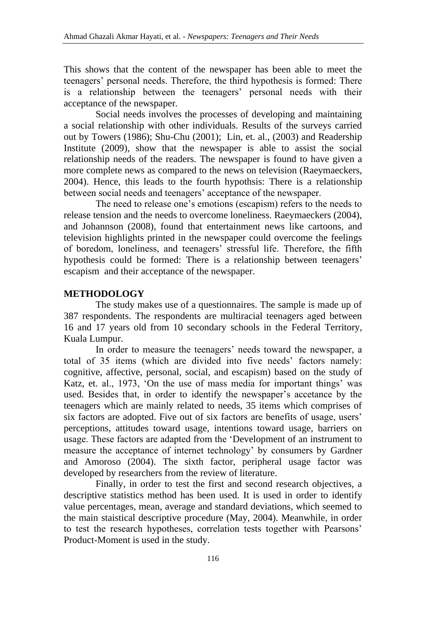This shows that the content of the newspaper has been able to meet the teenagers' personal needs. Therefore, the third hypothesis is formed: There is a relationship between the teenagers' personal needs with their acceptance of the newspaper*.*

Social needs involves the processes of developing and maintaining a social relationship with other individuals. Results of the surveys carried out by Towers (1986); Shu-Chu (2001); Lin, et. al., (2003) and Readership Institute (2009), show that the newspaper is able to assist the social relationship needs of the readers. The newspaper is found to have given a more complete news as compared to the news on television (Raeymaeckers, 2004). Hence, this leads to the fourth hypothsis: There is a relationship between social needs and teenagers' acceptance of the newspaper.

The need to release one's emotions (escapism) refers to the needs to release tension and the needs to overcome loneliness. Raeymaeckers (2004), and Johannson (2008), found that entertainment news like cartoons, and television highlights printed in the newspaper could overcome the feelings of boredom, loneliness, and teenagers' stressful life. Therefore, the fifth hypothesis could be formed: There is a relationship between teenagers' escapism and their acceptance of the newspaper.

## **METHODOLOGY**

The study makes use of a questionnaires. The sample is made up of 387 respondents. The respondents are multiracial teenagers aged between 16 and 17 years old from 10 secondary schools in the Federal Territory, Kuala Lumpur.

In order to measure the teenagers' needs toward the newspaper, a total of 35 items (which are divided into five needs' factors namely: cognitive, affective, personal, social, and escapism) based on the study of Katz, et. al., 1973, 'On the use of mass media for important things' was used. Besides that, in order to identify the newspaper's accetance by the teenagers which are mainly related to needs, 35 items which comprises of six factors are adopted. Five out of six factors are benefits of usage, users' perceptions, attitudes toward usage, intentions toward usage, barriers on usage. These factors are adapted from the 'Development of an instrument to measure the acceptance of internet technology' by consumers by Gardner and Amoroso (2004). The sixth factor, peripheral usage factor was developed by researchers from the review of literature.

Finally, in order to test the first and second research objectives, a descriptive statistics method has been used. It is used in order to identify value percentages, mean, average and standard deviations, which seemed to the main staistical descriptive procedure (May, 2004). Meanwhile, in order to test the research hypotheses, correlation tests together with Pearsons' Product-Moment is used in the study.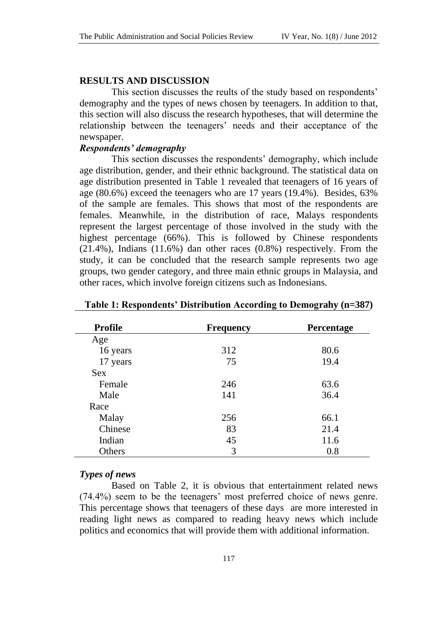#### **RESULTS AND DISCUSSION**

This section discusses the reults of the study based on respondents' demography and the types of news chosen by teenagers. In addition to that, this section will also discuss the research hypotheses, that will determine the relationship between the teenagers' needs and their acceptance of the newspaper.

#### *Respondents' demography*

This section discusses the respondents' demography, which include age distribution, gender, and their ethnic background. The statistical data on age distribution presented in Table 1 revealed that teenagers of 16 years of age (80.6%) exceed the teenagers who are 17 years (19.4%). Besides, 63% of the sample are females. This shows that most of the respondents are females. Meanwhile, in the distribution of race, Malays respondents represent the largest percentage of those involved in the study with the highest percentage (66%). This is followed by Chinese respondents (21.4%), Indians (11.6%) dan other races (0.8%) respectively. From the study, it can be concluded that the research sample represents two age groups, two gender category, and three main ethnic groups in Malaysia, and other races, which involve foreign citizens such as Indonesians.

| Profile    | <b>Frequency</b> | Percentage |
|------------|------------------|------------|
| Age        |                  |            |
| 16 years   | 312              | 80.6       |
| 17 years   | 75               | 19.4       |
| <b>Sex</b> |                  |            |
| Female     | 246              | 63.6       |
| Male       | 141              | 36.4       |
| Race       |                  |            |
| Malay      | 256              | 66.1       |
| Chinese    | 83               | 21.4       |
| Indian     | 45               | 11.6       |
| Others     | 3                | 0.8        |

#### **Table 1: Respondents' Distribution According to Demograhy (n=387)**

#### *Types of news*

Based on Table 2, it is obvious that entertainment related news (74.4%) seem to be the teenagers' most preferred choice of news genre. This percentage shows that teenagers of these days are more interested in reading light news as compared to reading heavy news which include politics and economics that will provide them with additional information.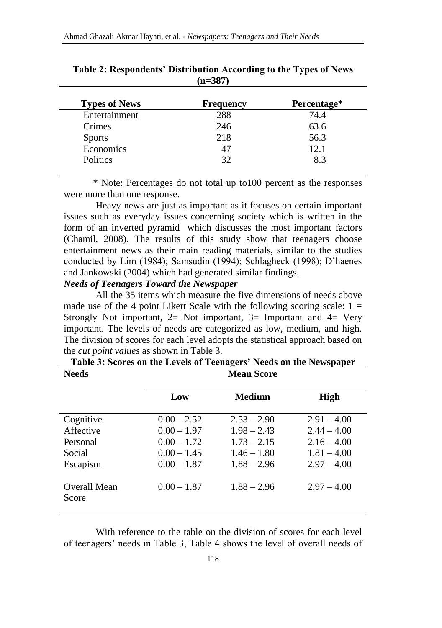| <b>Types of News</b> | <b>Frequency</b> | Percentage* |
|----------------------|------------------|-------------|
| Entertainment        | 288              | 74.4        |
| Crimes               | 246              | 63.6        |
| <b>Sports</b>        | 218              | 56.3        |
| Economics            | 47               | 12.1        |
| <b>Politics</b>      | 32               | 8.3         |

**Table 2: Respondents' Distribution According to the Types of News (n=387)**

 \* Note: Percentages do not total up to100 percent as the responses were more than one response.

Heavy news are just as important as it focuses on certain important issues such as everyday issues concerning society which is written in the form of an inverted pyramid which discusses the most important factors (Chamil, 2008). The results of this study show that teenagers choose entertainment news as their main reading materials, similar to the studies conducted by Lim (1984); Samsudin (1994); Schlagheck (1998); D'haenes and Jankowski (2004) which had generated similar findings.

### *Needs of Teenagers Toward the Newspaper*

All the 35 items which measure the five dimensions of needs above made use of the 4 point Likert Scale with the following scoring scale:  $1 =$ Strongly Not important,  $2=$  Not important,  $3=$  Important and  $4=$  Very important. The levels of needs are categorized as low, medium, and high. The division of scores for each level adopts the statistical approach based on the *cut point values* as shown in Table 3.

|                       | Low                            | <b>Medium</b>                  | High                           |
|-----------------------|--------------------------------|--------------------------------|--------------------------------|
| Cognitive             | $0.00 - 2.52$                  | $2.53 - 2.90$                  | $2.91 - 4.00$                  |
| Affective             | $0.00 - 1.97$                  | $1.98 - 2.43$                  | $2.44 - 4.00$                  |
| Personal<br>Social    | $0.00 - 1.72$<br>$0.00 - 1.45$ | $1.73 - 2.15$<br>$1.46 - 1.80$ | $2.16 - 4.00$<br>$1.81 - 4.00$ |
| Escapism              | $0.00 - 1.87$                  | $1.88 - 2.96$                  | $2.97 - 4.00$                  |
| Overall Mean<br>Score | $0.00 - 1.87$                  | $1.88 - 2.96$                  | $2.97 - 4.00$                  |

**Table 3: Scores on the Levels of Teenagers' Needs on the Newspaper Needs Mean Score**

With reference to the table on the division of scores for each level of teenagers' needs in Table 3, Table 4 shows the level of overall needs of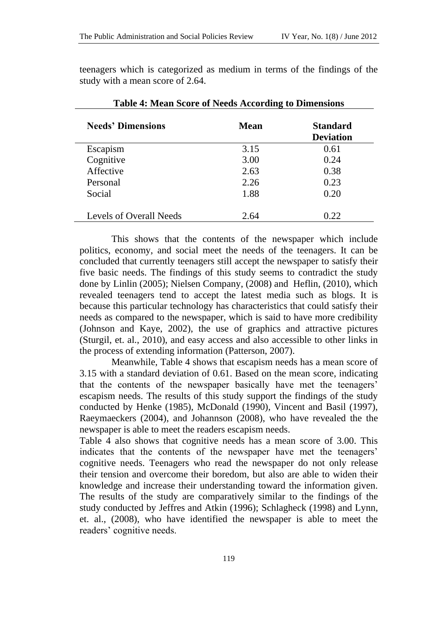teenagers which is categorized as medium in terms of the findings of the study with a mean score of 2.64.

**Table 4: Mean Score of Needs According to Dimensions**

| Tuble is mean beare of recent free and to Dimensions |      |                                     |  |  |
|------------------------------------------------------|------|-------------------------------------|--|--|
| <b>Needs' Dimensions</b>                             | Mean | <b>Standard</b><br><b>Deviation</b> |  |  |
| Escapism                                             | 3.15 | 0.61                                |  |  |
| Cognitive                                            | 3.00 | 0.24                                |  |  |
| Affective                                            | 2.63 | 0.38                                |  |  |
| Personal                                             | 2.26 | 0.23                                |  |  |
| Social                                               | 1.88 | 0.20                                |  |  |
| Levels of Overall Needs                              | 2.64 | 0.22                                |  |  |

This shows that the contents of the newspaper which include politics, economy, and social meet the needs of the teenagers. It can be concluded that currently teenagers still accept the newspaper to satisfy their five basic needs. The findings of this study seems to contradict the study done by Linlin (2005); Nielsen Company, (2008) and Heflin, (2010), which revealed teenagers tend to accept the latest media such as blogs. It is because this particular technology has characteristics that could satisfy their needs as compared to the newspaper, which is said to have more credibility (Johnson and Kaye, 2002), the use of graphics and attractive pictures (Sturgil, et. al., 2010), and easy access and also accessible to other links in the process of extending information (Patterson, 2007).

Meanwhile, Table 4 shows that escapism needs has a mean score of 3.15 with a standard deviation of 0.61. Based on the mean score, indicating that the contents of the newspaper basically have met the teenagers' escapism needs. The results of this study support the findings of the study conducted by Henke (1985), McDonald (1990), Vincent and Basil (1997), Raeymaeckers (2004), and Johannson (2008), who have revealed the the newspaper is able to meet the readers escapism needs.

Table 4 also shows that cognitive needs has a mean score of 3.00. This indicates that the contents of the newspaper have met the teenagers' cognitive needs. Teenagers who read the newspaper do not only release their tension and overcome their boredom, but also are able to widen their knowledge and increase their understanding toward the information given. The results of the study are comparatively similar to the findings of the study conducted by Jeffres and Atkin (1996); Schlagheck (1998) and Lynn, et. al., (2008), who have identified the newspaper is able to meet the readers' cognitive needs.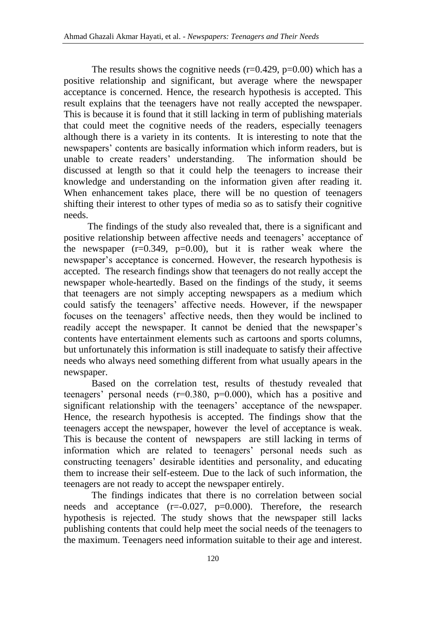The results shows the cognitive needs ( $r=0.429$ ,  $p=0.00$ ) which has a positive relationship and significant, but average where the newspaper acceptance is concerned. Hence, the research hypothesis is accepted. This result explains that the teenagers have not really accepted the newspaper. This is because it is found that it still lacking in term of publishing materials that could meet the cognitive needs of the readers, especially teenagers although there is a variety in its contents. It is interesting to note that the newspapers' contents are basically information which inform readers, but is unable to create readers' understanding. The information should be discussed at length so that it could help the teenagers to increase their knowledge and understanding on the information given after reading it. When enhancement takes place, there will be no question of teenagers shifting their interest to other types of media so as to satisfy their cognitive needs.

The findings of the study also revealed that, there is a significant and positive relationship between affective needs and teenagers' acceptance of the newspaper  $(r=0.349, p=0.00)$ , but it is rather weak where the newspaper's acceptance is concerned. However, the research hypothesis is accepted. The research findings show that teenagers do not really accept the newspaper whole-heartedly. Based on the findings of the study, it seems that teenagers are not simply accepting newspapers as a medium which could satisfy the teenagers' affective needs. However, if the newspaper focuses on the teenagers' affective needs, then they would be inclined to readily accept the newspaper. It cannot be denied that the newspaper's contents have entertainment elements such as cartoons and sports columns, but unfortunately this information is still inadequate to satisfy their affective needs who always need something different from what usually apears in the newspaper.

Based on the correlation test, results of thestudy revealed that teenagers' personal needs (r=0.380, p=0.000), which has a positive and significant relationship with the teenagers' acceptance of the newspaper. Hence, the research hypothesis is accepted. The findings show that the teenagers accept the newspaper, however the level of acceptance is weak. This is because the content of newspapers are still lacking in terms of information which are related to teenagers' personal needs such as constructing teenagers' desirable identities and personality, and educating them to increase their self-esteem. Due to the lack of such information, the teenagers are not ready to accept the newspaper entirely.

The findings indicates that there is no correlation between social needs and acceptance  $(r=0.027, p=0.000)$ . Therefore, the research hypothesis is rejected. The study shows that the newspaper still lacks publishing contents that could help meet the social needs of the teenagers to the maximum. Teenagers need information suitable to their age and interest.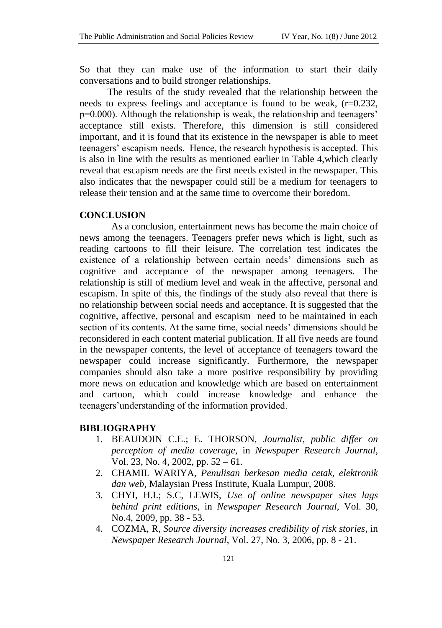So that they can make use of the information to start their daily conversations and to build stronger relationships.

The results of the study revealed that the relationship between the needs to express feelings and acceptance is found to be weak, (r=0.232, p=0.000). Although the relationship is weak, the relationship and teenagers' acceptance still exists. Therefore, this dimension is still considered important, and it is found that its existence in the newspaper is able to meet teenagers' escapism needs. Hence, the research hypothesis is accepted. This is also in line with the results as mentioned earlier in Table 4,which clearly reveal that escapism needs are the first needs existed in the newspaper. This also indicates that the newspaper could still be a medium for teenagers to release their tension and at the same time to overcome their boredom.

# **CONCLUSION**

As a conclusion, entertainment news has become the main choice of news among the teenagers. Teenagers prefer news which is light, such as reading cartoons to fill their leisure. The correlation test indicates the existence of a relationship between certain needs' dimensions such as cognitive and acceptance of the newspaper among teenagers. The relationship is still of medium level and weak in the affective, personal and escapism. In spite of this, the findings of the study also reveal that there is no relationship between social needs and acceptance. It is suggested that the cognitive, affective, personal and escapism need to be maintained in each section of its contents. At the same time, social needs' dimensions should be reconsidered in each content material publication. If all five needs are found in the newspaper contents, the level of acceptance of teenagers toward the newspaper could increase significantly. Furthermore, the newspaper companies should also take a more positive responsibility by providing more news on education and knowledge which are based on entertainment and cartoon, which could increase knowledge and enhance the teenagers'understanding of the information provided.

#### **BIBLIOGRAPHY**

- 1. BEAUDOIN C.E.; E. THORSON, *Journalist, public differ on perception of media coverage*, in *Newspaper Research Journal*, Vol. 23, No. 4, 2002, pp. 52 – 61.
- 2. CHAMIL WARIYA, *Penulisan berkesan media cetak, elektronik dan web,* Malaysian Press Institute, Kuala Lumpur, 2008.
- 3. CHYI, H.I.; S.C, LEWIS, *[Use of online newspaper](http://ezproxy.upm.edu.my:2063/ehost/viewarticle?data=dGJyMPPp44rp2%2fdV0%2bnjisfk5Ie46%2b6F6t%2fgRuvX54as2%2baH8eq%2bSq2orUqup684r7CxSbimsTi%2fw6SM8Nfsi9%2fZ8oHt5Od8u6e3TLWrsEmxr64%2b6tfsf7vb7D7i2LuN5N6kjN%2fdu1nMnN%2bGu6qyULKvskuynOSH8OPfjLvc84Tq6uOQ8gAA&hid=9) sites lags [behind print editions](http://ezproxy.upm.edu.my:2063/ehost/viewarticle?data=dGJyMPPp44rp2%2fdV0%2bnjisfk5Ie46%2b6F6t%2fgRuvX54as2%2baH8eq%2bSq2orUqup684r7CxSbimsTi%2fw6SM8Nfsi9%2fZ8oHt5Od8u6e3TLWrsEmxr64%2b6tfsf7vb7D7i2LuN5N6kjN%2fdu1nMnN%2bGu6qyULKvskuynOSH8OPfjLvc84Tq6uOQ8gAA&hid=9)*, in *Newspaper Research Journal*, Vol. 30, No.4, 2009, pp. 38 - 53.
- 4. COZMA, R, *Source diversity increases credibility of risk stories*, in *Newspaper Research Journal*, Vol*.* 27, No. 3, 2006, pp. 8 - 21.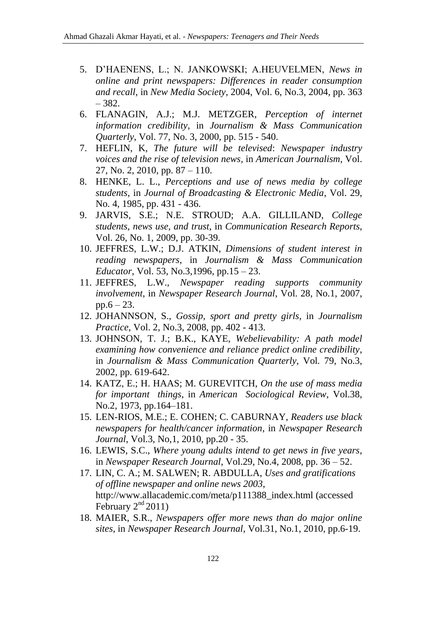- 5. D'HAENENS, L.; N. JANKOWSKI; A.HEUVELMEN, *News in online and print newspapers: Differences in reader consumption and recall*, in *New Media Society*, 2004, Vol. 6, No.3, 2004, pp. 363 – 382.
- 6. FLANAGIN, A.J.; M.J. METZGER, *Perception of internet information credibility*, in *Journalism & Mass Communication Quarterly*, Vol. 77, No. 3, 2000, pp. 515 - 540.
- 7. HEFLIN, K, *The future will be televised*: *Newspaper industry voices and the rise of television news*, in *American Journalism*, Vol. 27, No. 2, 2010, pp. 87 – 110.
- 8. HENKE, L. L., *Perceptions and use of news media by college students*, in *Journal of Broadcasting & Electronic Media*, Vol. 29, No. 4, 1985, pp. 431 - 436.
- 9. JARVIS, S.E.; N.E. STROUD; A.A. GILLILAND, *[College](http://ezproxy.upm.edu.my:2063/ehost/viewarticle?data=dGJyMPPp44rp2%2fdV0%2bnjisfk5Ie46%2b6F6t%2fgRuvX54as2%2baH8eq%2bSq2rrUqup684tbCuT7iqtDi%2fw6SM8Nfsi9%2fZ8oHt5Od8u6e3Sq6sr0ivqbU%2b6tfsf7vb7D7i2LuN5N6kjN%2fdu1nMnN%2bGu6m0S7CptkmunOSH8OPfjLvc84Tq6uOQ8gAA&hid=22)  [students, news use, and trust](http://ezproxy.upm.edu.my:2063/ehost/viewarticle?data=dGJyMPPp44rp2%2fdV0%2bnjisfk5Ie46%2b6F6t%2fgRuvX54as2%2baH8eq%2bSq2rrUqup684tbCuT7iqtDi%2fw6SM8Nfsi9%2fZ8oHt5Od8u6e3Sq6sr0ivqbU%2b6tfsf7vb7D7i2LuN5N6kjN%2fdu1nMnN%2bGu6m0S7CptkmunOSH8OPfjLvc84Tq6uOQ8gAA&hid=22)*, in *Communication Research Reports*, Vol. 26, No. 1, 2009, pp. 30-39.
- 10. JEFFRES, L.W.; D.J. ATKIN, *Dimensions of student interest in reading newspapers*, in *Journalism & Mass Communication Educator*, Vol. 53, No.3,1996, pp.15 – 23.
- 11. JEFFRES, L.W., *Newspaper reading supports community involvement*, in *Newspaper Research Journal*, Vol. 28, No.1, 2007,  $pp.6 - 23$ .
- 12. JOHANNSON, S., *[Gossip, sport and pretty girls](http://ezproxy.upm.edu.my:2063/ehost/viewarticle?data=dGJyMPPp44rp2%2fdV0%2bnjisfk5Ie46%2b6F6t%2fgRuvX54as2%2baH8eq%2bSq2orUqup684sLCzT7imtji%2fw6SM8Nfsi9%2fZ8oHt5Od8u6e3TLWrsEmxr64%2b6tfsf7vb7D7i2LuN5N6kjN%2fdu1nMnN%2bGu6mySa6qtFC2nOSH8OPfjLvc84Tq6uOQ8gAA&hid=9)*, in *Journalism Practice*, Vol. 2, No.3, 2008, pp. 402 - 413.
- 13. JOHNSON, T. J.; B.K., KAYE, *Webelievability: A path model examining how convenience and reliance predict online credibility*, in *Journalism & Mass Communication Quarterly*, Vol*.* 79, No.3, 2002, pp. 619-642.
- 14. KATZ, E.; H. HAAS; M. GUREVITCH, *On the use of mass media for important things*, in *American Sociological Review*, Vol.38, No.2, 1973, pp.164–181.
- 15. LEN-RIOS, M.E.; E. COHEN; C. CABURNAY, *[Readers use black](http://ezproxy.upm.edu.my:2063/ehost/viewarticle?data=dGJyMPPp44rp2%2fdV0%2bnjisfk5Ie46%2b6F6t%2fgRuvX54as2%2baH8eq%2bSq2prUqup684t7CzSbimsTi%2fw6SM8Nfsi9%2fZ8oHt5Od8u6OvSLOstEy0ra9MpOLfhuWz44ak2uBV89zmPvLX5VW%2fxKR57LOyULGttE%2b3qKR%2b7ejrefKz5I3q4vJ99uoA&hid=13)  newspapers [for health/cancer information](http://ezproxy.upm.edu.my:2063/ehost/viewarticle?data=dGJyMPPp44rp2%2fdV0%2bnjisfk5Ie46%2b6F6t%2fgRuvX54as2%2baH8eq%2bSq2prUqup684t7CzSbimsTi%2fw6SM8Nfsi9%2fZ8oHt5Od8u6OvSLOstEy0ra9MpOLfhuWz44ak2uBV89zmPvLX5VW%2fxKR57LOyULGttE%2b3qKR%2b7ejrefKz5I3q4vJ99uoA&hid=13)*, in *Newspaper Research Journal*, Vol.3, No,1, 2010, pp.20 - 35.
- 16. LEWIS, S.C., *Where young adults intend to get news in five years*, in *Newspaper Research Journal*, Vol.29, No.4, 2008, pp. 36 – 52.
- 17. LIN, C. A.; M. SALWEN; R. ABDULLA, *Uses and gratifications of offline newspaper and online news 2003*, [http://www.allacademic.com/meta/p111388\\_index.html](http://www.allacademic.com/meta/p111388_index.html) (accessed February  $2<sup>nd</sup> 2011$ )
- 18. MAIER, S.R., *Newspapers [offer more news than do major online](http://ezproxy.upm.edu.my:2063/ehost/viewarticle?data=dGJyMPPp44rp2%2fdV0%2bnjisfk5Ie46%2b6F6t%2fgRuvX54as2%2baH8eq%2bSq2orUqup684sbCxT7iotzi%2fw6SM8Nfsi9%2fZ8oHt5Od8u6e3TLWrsEmxr64%2b6tfsf7vb7D7i2LuN5N6kjN%2fdu1nMnN%2bGu6q2S7WstVGvnOSH8OPfjLvc84Tq6uOQ8gAA&hid=9)  [sites](http://ezproxy.upm.edu.my:2063/ehost/viewarticle?data=dGJyMPPp44rp2%2fdV0%2bnjisfk5Ie46%2b6F6t%2fgRuvX54as2%2baH8eq%2bSq2orUqup684sbCxT7iotzi%2fw6SM8Nfsi9%2fZ8oHt5Od8u6e3TLWrsEmxr64%2b6tfsf7vb7D7i2LuN5N6kjN%2fdu1nMnN%2bGu6q2S7WstVGvnOSH8OPfjLvc84Tq6uOQ8gAA&hid=9)*, in *Newspaper Research Journal*, Vol.31, No.1, 2010, pp.6-19.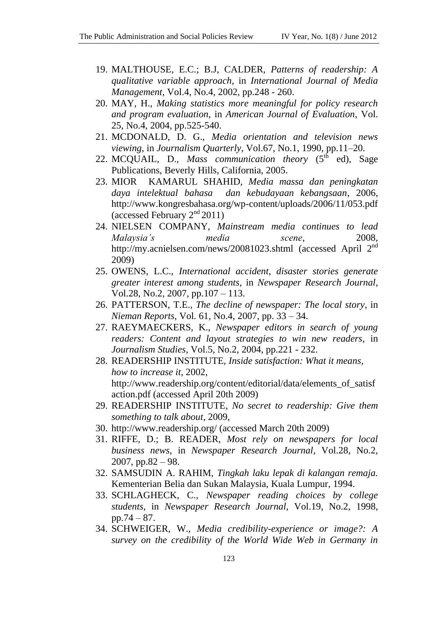- 19. MALTHOUSE, E.C.; B.J, CALDER, *Patterns of readership: A qualitative variable approach*, in *International Journal of Media Management*, Vol.4, No.4, 2002, pp.248 - 260.
- 20. MAY, H., *Making statistics more meaningful for policy research and program evaluation*, in *American Journal of Evaluation*, Vol. 25, No.4, 2004, pp.525-540.
- 21. MCDONALD, D. G., *Media orientation and television news viewing*, in *Journalism Quarterly*, Vol.67, No.1, 1990, pp.11–20.
- 22. MCQUAIL, D., *Mass communication theory*  $(5^{th}$  ed), Sage Publications, Beverly Hills, California, 2005.
- 23. MIOR KAMARUL SHAHID, *Media massa dan peningkatan daya intelektual bahasa dan kebudayaan kebangsaan*, 2006, <http://www.kongresbahasa.org/wp-content/uploads/2006/11/053.pdf> (accessed February 2nd 2011)
- 24. NIELSEN COMPANY, *Mainstream media continues to lead Malaysia's media scene*, 2008, <http://my.acnielsen.com/news/20081023.shtml> (accessed April 2<sup>nd</sup> 2009)
- 25. OWENS, L.C., *International accident, disaster stories generate greater interest among students*, in *Newspaper Research Journal*, Vol.28, No.2, 2007, pp.107 – 113.
- 26. PATTERSON, T.E., *The decline of newspaper: The local story*, in *Nieman Reports*, Vol*.* 61, No.4, 2007, pp. 33 – 34.
- 27. RAEYMAECKERS, K., *Newspaper editors in search of young readers: Content and layout strategies to win new readers*, in *Journalism Studies*, Vol.5, No.2, 2004, pp.221 - 232.
- 28. READERSHIP INSTITUTE, *Inside satisfaction: What it means, how to increase it*, 2002, [http://www.readership.org/content/editorial/data/elements\\_of\\_satisf](http://www.readership.org/content/editorial/data/elements_of_satisfaction.pdf) [action.pdf](http://www.readership.org/content/editorial/data/elements_of_satisfaction.pdf) (accessed April 20th 2009)
- 29. READERSHIP INSTITUTE, *No secret to readership: Give them something to talk about*, 2009,
- 30. <http://www.readership.org/> (accessed March 20th 2009)
- 31. RIFFE, D.; B. READER, *Most rely on newspapers for local business news*, in *Newspaper Research Journal,* Vol.28, No.2,  $2007$ , pp. $82 - 98$ .
- 32. SAMSUDIN A. RAHIM, *Tingkah laku lepak di kalangan remaja.*  Kementerian Belia dan Sukan Malaysia, Kuala Lumpur, 1994.
- 33. SCHLAGHECK, C., *Newspaper reading choices by college students*, in *Newspaper Research Journal*, Vol.19, No.2, 1998, pp.74 – 87.
- 34. SCHWEIGER, W., *Media credibility-experience or image?: A survey on the credibility of the World Wide Web in Germany in*